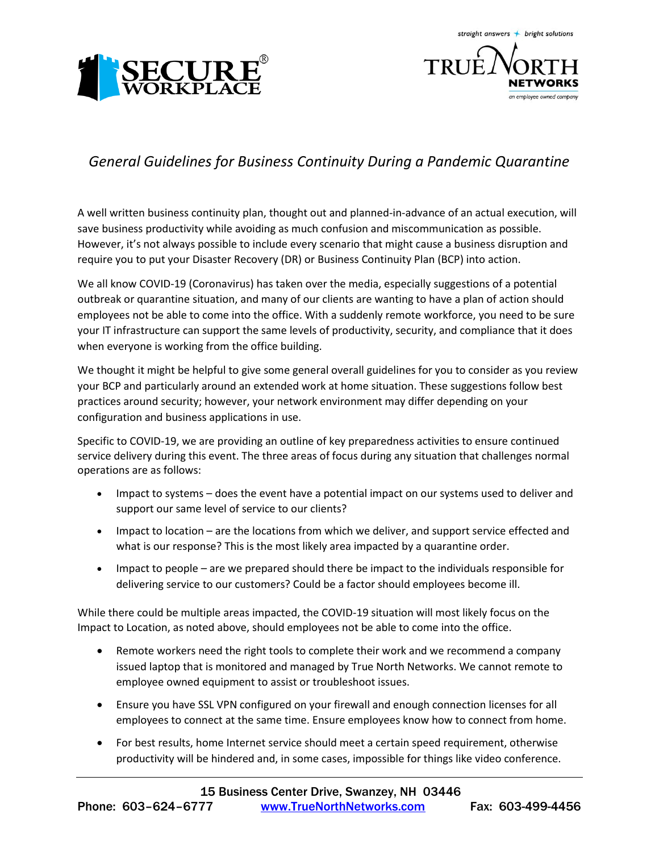



## *General Guidelines for Business Continuity During a Pandemic Quarantine*

A well written business continuity plan, thought out and planned-in-advance of an actual execution, will save business productivity while avoiding as much confusion and miscommunication as possible. However, it's not always possible to include every scenario that might cause a business disruption and require you to put your Disaster Recovery (DR) or Business Continuity Plan (BCP) into action.

We all know COVID-19 (Coronavirus) has taken over the media, especially suggestions of a potential outbreak or quarantine situation, and many of our clients are wanting to have a plan of action should employees not be able to come into the office. With a suddenly remote workforce, you need to be sure your IT infrastructure can support the same levels of productivity, security, and compliance that it does when everyone is working from the office building.

We thought it might be helpful to give some general overall guidelines for you to consider as you review your BCP and particularly around an extended work at home situation. These suggestions follow best practices around security; however, your network environment may differ depending on your configuration and business applications in use.

Specific to COVID-19, we are providing an outline of key preparedness activities to ensure continued service delivery during this event. The three areas of focus during any situation that challenges normal operations are as follows:

- Impact to systems does the event have a potential impact on our systems used to deliver and support our same level of service to our clients?
- Impact to location are the locations from which we deliver, and support service effected and what is our response? This is the most likely area impacted by a quarantine order.
- Impact to people are we prepared should there be impact to the individuals responsible for delivering service to our customers? Could be a factor should employees become ill.

While there could be multiple areas impacted, the COVID-19 situation will most likely focus on the Impact to Location, as noted above, should employees not be able to come into the office.

- Remote workers need the right tools to complete their work and we recommend a company issued laptop that is monitored and managed by True North Networks. We cannot remote to employee owned equipment to assist or troubleshoot issues.
- Ensure you have SSL VPN configured on your firewall and enough connection licenses for all employees to connect at the same time. Ensure employees know how to connect from home.
- For best results, home Internet service should meet a certain speed requirement, otherwise productivity will be hindered and, in some cases, impossible for things like video conference.